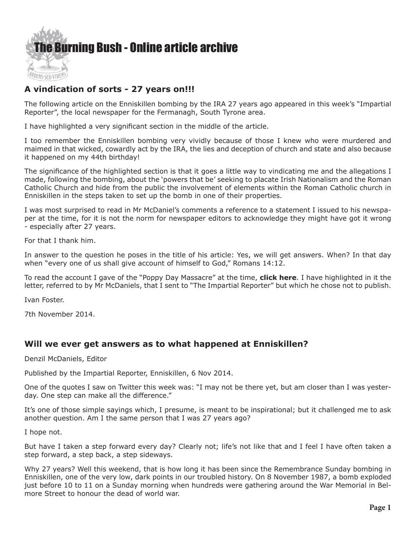

## **A vindication of sorts - 27 years on!!!**

The following article on the Enniskillen bombing by the IRA 27 years ago appeared in this week's "Impartial Reporter", the local newspaper for the Fermanagh, South Tyrone area.

I have highlighted a very significant section in the middle of the article.

I too remember the Enniskillen bombing very vividly because of those I knew who were murdered and maimed in that wicked, cowardly act by the IRA, the lies and deception of church and state and also because it happened on my 44th birthday!

The significance of the highlighted section is that it goes a little way to vindicating me and the allegations I made, following the bombing, about the 'powers that be' seeking to placate Irish Nationalism and the Roman Catholic Church and hide from the public the involvement of elements within the Roman Catholic church in Enniskillen in the steps taken to set up the bomb in one of their properties.

I was most surprised to read in Mr McDaniel's comments a reference to a statement I issued to his newspaper at the time, for it is not the norm for newspaper editors to acknowledge they might have got it wrong - especially after 27 years.

For that I thank him.

In answer to the question he poses in the title of his article: Yes, we will get answers. When? In that day when "every one of us shall give account of himself to God," Romans 14:12.

To read the account I gave of the "Poppy Day Massacre" at the time, **[click here](http://http://www.ivanfoster.net/pdf/Articles2b.pdf)**. I have highlighted in it the letter, referred to by Mr McDaniels, that I sent to "The Impartial Reporter" but which he chose not to publish.

Ivan Foster.

7th November 2014.

## **Will we ever get answers as to what happened at Enniskillen?**

Denzil McDaniels, Editor

Published by the Impartial Reporter, Enniskillen, 6 Nov 2014.

One of the quotes I saw on Twitter this week was: "I may not be there yet, but am closer than I was yesterday. One step can make all the difference."

It's one of those simple sayings which, I presume, is meant to be inspirational; but it challenged me to ask another question. Am I the same person that I was 27 years ago?

I hope not.

But have I taken a step forward every day? Clearly not; life's not like that and I feel I have often taken a step forward, a step back, a step sideways.

Why 27 years? Well this weekend, that is how long it has been since the Remembrance Sunday bombing in Enniskillen, one of the very low, dark points in our troubled history. On 8 November 1987, a bomb exploded just before 10 to 11 on a Sunday morning when hundreds were gathering around the War Memorial in Belmore Street to honour the dead of world war.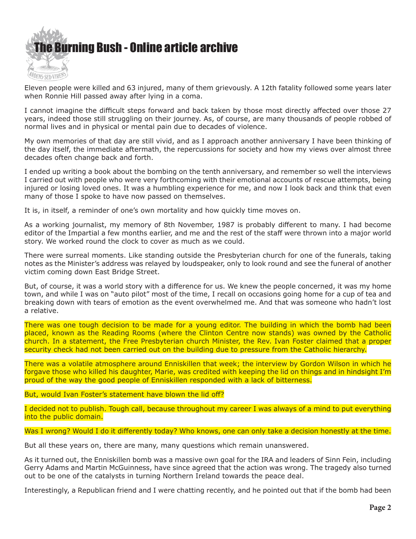

Eleven people were killed and 63 injured, many of them grievously. A 12th fatality followed some years later when Ronnie Hill passed away after lying in a coma.

I cannot imagine the difficult steps forward and back taken by those most directly affected over those 27 years, indeed those still struggling on their journey. As, of course, are many thousands of people robbed of normal lives and in physical or mental pain due to decades of violence.

My own memories of that day are still vivid, and as I approach another anniversary I have been thinking of the day itself, the immediate aftermath, the repercussions for society and how my views over almost three decades often change back and forth.

I ended up writing a book about the bombing on the tenth anniversary, and remember so well the interviews I carried out with people who were very forthcoming with their emotional accounts of rescue attempts, being injured or losing loved ones. It was a humbling experience for me, and now I look back and think that even many of those I spoke to have now passed on themselves.

It is, in itself, a reminder of one's own mortality and how quickly time moves on.

As a working journalist, my memory of 8th November, 1987 is probably different to many. I had become editor of the Impartial a few months earlier, and me and the rest of the staff were thrown into a major world story. We worked round the clock to cover as much as we could.

There were surreal moments. Like standing outside the Presbyterian church for one of the funerals, taking notes as the Minister's address was relayed by loudspeaker, only to look round and see the funeral of another victim coming down East Bridge Street.

But, of course, it was a world story with a difference for us. We knew the people concerned, it was my home town, and while I was on "auto pilot" most of the time, I recall on occasions going home for a cup of tea and breaking down with tears of emotion as the event overwhelmed me. And that was someone who hadn't lost a relative.

There was one tough decision to be made for a young editor. The building in which the bomb had been placed, known as the Reading Rooms (where the Clinton Centre now stands) was owned by the Catholic church. In a statement, the Free Presbyterian church Minister, the Rev. Ivan Foster claimed that a proper security check had not been carried out on the building due to pressure from the Catholic hierarchy.

There was a volatile atmosphere around Enniskillen that week; the interview by Gordon Wilson in which he forgave those who killed his daughter, Marie, was credited with keeping the lid on things and in hindsight I'm proud of the way the good people of Enniskillen responded with a lack of bitterness.

But, would Ivan Foster's statement have blown the lid off?

I decided not to publish. Tough call, because throughout my career I was always of a mind to put everything into the public domain.

Was I wrong? Would I do it differently today? Who knows, one can only take a decision honestly at the time.

But all these years on, there are many, many questions which remain unanswered.

As it turned out, the Enniskillen bomb was a massive own goal for the IRA and leaders of Sinn Fein, including Gerry Adams and Martin McGuinness, have since agreed that the action was wrong. The tragedy also turned out to be one of the catalysts in turning Northern Ireland towards the peace deal.

Interestingly, a Republican friend and I were chatting recently, and he pointed out that if the bomb had been